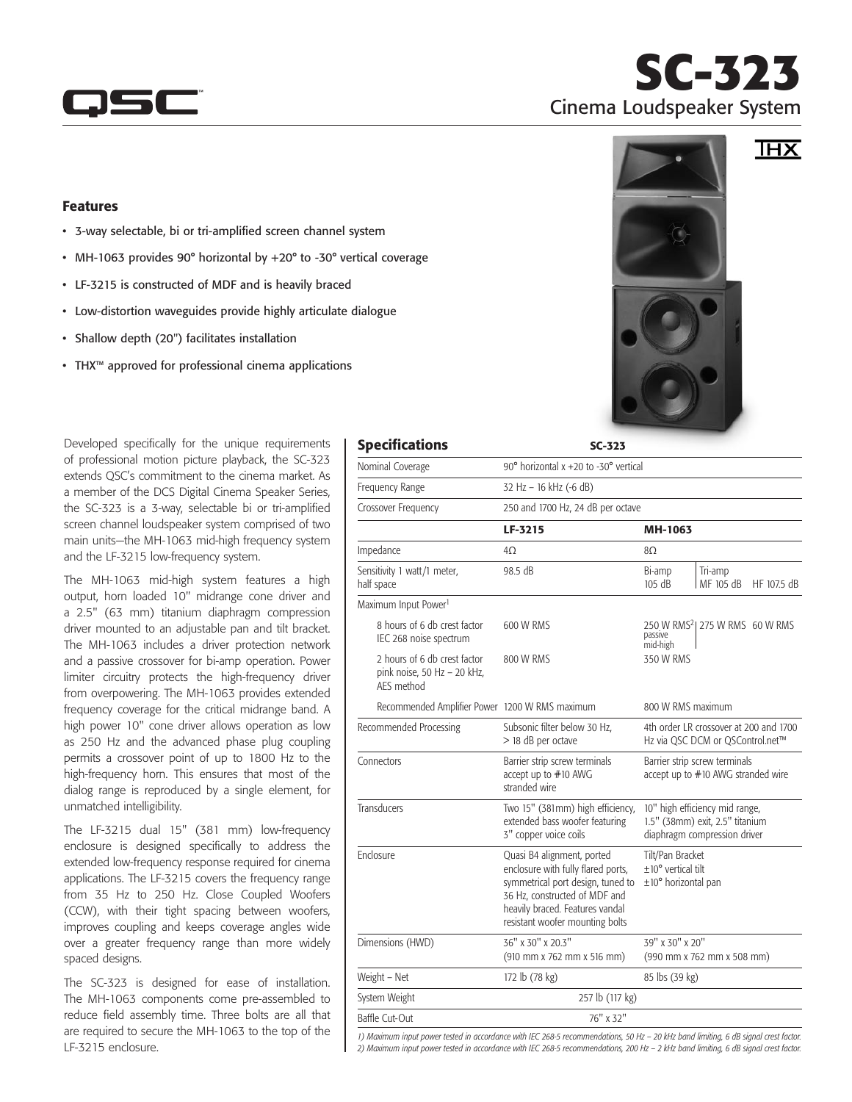

## **SC-323** Cinema Loudspeaker System

 $\overline{\text{IHX}}$ 

## Features

- • 3-way selectable, bi or tri-amplified screen channel system
- MH-1063 provides 90° horizontal by +20° to -30° vertical coverage
- • LF-3215 is constructed of MDF and is heavily braced
- Low-distortion waveguides provide highly articulate dialogue
- • Shallow depth (20") facilitates installation
- • THX™ approved for professional cinema applications

Developed specifically for the unique requirements of professional motion picture playback, the SC-323 extends QSC's commitment to the cinema market. As a member of the DCS Digital Cinema Speaker Series, the SC-323 is a 3-way, selectable bi or tri-amplified screen channel loudspeaker system comprised of two main units—the MH-1063 mid-high frequency system and the LF-3215 low-frequency system.

The MH-1063 mid-high system features a high output, horn loaded 10" midrange cone driver and a 2.5" (63 mm) titanium diaphragm compression driver mounted to an adjustable pan and tilt bracket. The MH-1063 includes a driver protection network and a passive crossover for bi-amp operation. Power limiter circuitry protects the high-frequency driver from overpowering. The MH-1063 provides extended frequency coverage for the critical midrange band. A high power 10" cone driver allows operation as low as 250 Hz and the advanced phase plug coupling permits a crossover point of up to 1800 Hz to the high-frequency horn. This ensures that most of the dialog range is reproduced by a single element, for unmatched intelligibility.

The LF-3215 dual 15" (381 mm) low-frequency enclosure is designed specifically to address the extended low-frequency response required for cinema applications. The LF-3215 covers the frequency range from 35 Hz to 250 Hz. Close Coupled Woofers (CCW), with their tight spacing between woofers, improves coupling and keeps coverage angles wide over a greater frequency range than more widely spaced designs.

The SC-323 is designed for ease of installation. The MH-1063 components come pre-assembled to reduce field assembly time. Three bolts are all that are required to secure the MH-1063 to the top of the LF-3215 enclosure.

| <b>Specifications</b>                                                     | $SC-323$                                                                                                                                                                                                     |                                                                                                   |                                            |
|---------------------------------------------------------------------------|--------------------------------------------------------------------------------------------------------------------------------------------------------------------------------------------------------------|---------------------------------------------------------------------------------------------------|--------------------------------------------|
| Nominal Coverage                                                          | 90° horizontal x +20 to -30° vertical                                                                                                                                                                        |                                                                                                   |                                            |
| Frequency Range                                                           | 32 Hz - 16 kHz (-6 dB)                                                                                                                                                                                       |                                                                                                   |                                            |
| Crossover Frequency                                                       | 250 and 1700 Hz, 24 dB per octave                                                                                                                                                                            |                                                                                                   |                                            |
|                                                                           | LF-3215                                                                                                                                                                                                      | MH-1063                                                                                           |                                            |
| Impedance                                                                 | $4\Omega$                                                                                                                                                                                                    | 8Q                                                                                                |                                            |
| Sensitivity 1 watt/1 meter,<br>half space                                 | 98.5 dB                                                                                                                                                                                                      | Bi-amp<br>105 dB                                                                                  | Tri-amp<br>MF 105 dB<br>HF 107.5 dB        |
| Maximum Input Power <sup>1</sup>                                          |                                                                                                                                                                                                              |                                                                                                   |                                            |
| 8 hours of 6 db crest factor<br>IEC 268 noise spectrum                    | 600 W RMS                                                                                                                                                                                                    | passive<br>mid-high                                                                               | 250 W RMS <sup>2</sup> 1275 W RMS 60 W RMS |
| 2 hours of 6 db crest factor<br>pink noise, 50 Hz - 20 kHz,<br>AES method | 800 W RMS                                                                                                                                                                                                    | 350 W RMS                                                                                         |                                            |
| Recommended Amplifier Power 1200 W RMS maximum                            |                                                                                                                                                                                                              | 800 W RMS maximum                                                                                 |                                            |
| Recommended Processing                                                    | Subsonic filter below 30 Hz,<br>> 18 dB per octave                                                                                                                                                           | 4th order LR crossover at 200 and 1700<br>Hz via QSC DCM or QSControl.net™                        |                                            |
| Connectors                                                                | Barrier strip screw terminals<br>accept up to #10 AWG<br>stranded wire                                                                                                                                       | Barrier strip screw terminals<br>accept up to #10 AWG stranded wire                               |                                            |
| Transducers                                                               | Two 15" (381mm) high efficiency,<br>extended bass woofer featuring<br>3" copper voice coils                                                                                                                  | 10" high efficiency mid range,<br>1.5" (38mm) exit, 2.5" titanium<br>diaphragm compression driver |                                            |
| Enclosure                                                                 | Quasi B4 alignment, ported<br>enclosure with fully flared ports,<br>symmetrical port design, tuned to<br>36 Hz, constructed of MDF and<br>heavily braced. Features vandal<br>resistant woofer mounting bolts | Tilt/Pan Bracket<br>$±10°$ vertical tilt<br>$\pm 10^{\circ}$ horizontal pan                       |                                            |
| Dimensions (HWD)                                                          | 36" x 30" x 20.3"<br>(910 mm x 762 mm x 516 mm)                                                                                                                                                              | 39" x 30" x 20"                                                                                   | (990 mm x 762 mm x 508 mm)                 |
| Weight - Net                                                              | 172 lb (78 kg)                                                                                                                                                                                               | 85 lbs (39 kg)                                                                                    |                                            |
| System Weight                                                             | 257 lb (117 kg)                                                                                                                                                                                              |                                                                                                   |                                            |
| Baffle Cut-Out                                                            | 76" x 32"                                                                                                                                                                                                    |                                                                                                   |                                            |

*1) Maximum input power tested in accordance with IEC 268-5 recommendations, 50 Hz – 20 kHz band limiting, 6 dB signal crest factor. 2) Maximum input power tested in accordance with IEC 268-5 recommendations, 200 Hz – 2 kHz band limiting, 6 dB signal crest factor.*